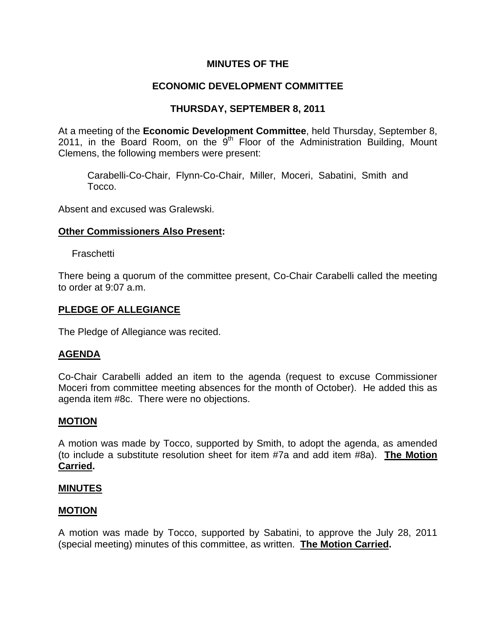# **MINUTES OF THE**

# **ECONOMIC DEVELOPMENT COMMITTEE**

# **THURSDAY, SEPTEMBER 8, 2011**

At a meeting of the **Economic Development Committee**, held Thursday, September 8, 2011, in the Board Room, on the  $9<sup>th</sup>$  Floor of the Administration Building, Mount Clemens, the following members were present:

Carabelli-Co-Chair, Flynn-Co-Chair, Miller, Moceri, Sabatini, Smith and Tocco.

Absent and excused was Gralewski.

### **Other Commissioners Also Present:**

Fraschetti

There being a quorum of the committee present, Co-Chair Carabelli called the meeting to order at 9:07 a.m.

### **PLEDGE OF ALLEGIANCE**

The Pledge of Allegiance was recited.

# **AGENDA**

Co-Chair Carabelli added an item to the agenda (request to excuse Commissioner Moceri from committee meeting absences for the month of October). He added this as agenda item #8c. There were no objections.

#### **MOTION**

A motion was made by Tocco, supported by Smith, to adopt the agenda, as amended (to include a substitute resolution sheet for item #7a and add item #8a). **The Motion Carried.** 

#### **MINUTES**

#### **MOTION**

A motion was made by Tocco, supported by Sabatini, to approve the July 28, 2011 (special meeting) minutes of this committee, as written. **The Motion Carried.**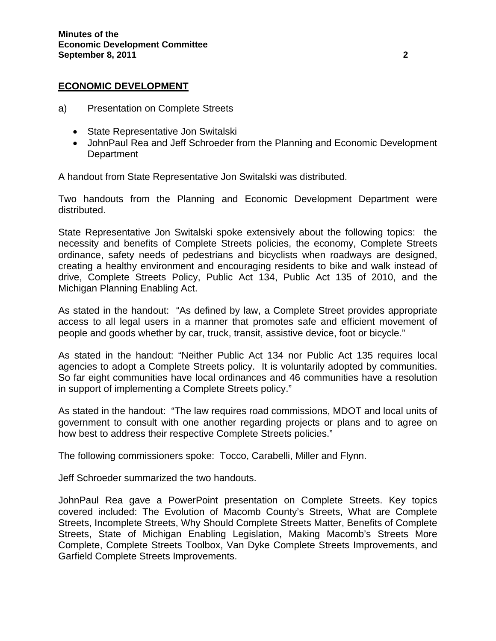### **ECONOMIC DEVELOPMENT**

- a) Presentation on Complete Streets
	- State Representative Jon Switalski
	- JohnPaul Rea and Jeff Schroeder from the Planning and Economic Development **Department**

A handout from State Representative Jon Switalski was distributed.

Two handouts from the Planning and Economic Development Department were distributed.

State Representative Jon Switalski spoke extensively about the following topics: the necessity and benefits of Complete Streets policies, the economy, Complete Streets ordinance, safety needs of pedestrians and bicyclists when roadways are designed, creating a healthy environment and encouraging residents to bike and walk instead of drive, Complete Streets Policy, Public Act 134, Public Act 135 of 2010, and the Michigan Planning Enabling Act.

As stated in the handout: "As defined by law, a Complete Street provides appropriate access to all legal users in a manner that promotes safe and efficient movement of people and goods whether by car, truck, transit, assistive device, foot or bicycle."

As stated in the handout: "Neither Public Act 134 nor Public Act 135 requires local agencies to adopt a Complete Streets policy. It is voluntarily adopted by communities. So far eight communities have local ordinances and 46 communities have a resolution in support of implementing a Complete Streets policy."

As stated in the handout: "The law requires road commissions, MDOT and local units of government to consult with one another regarding projects or plans and to agree on how best to address their respective Complete Streets policies."

The following commissioners spoke: Tocco, Carabelli, Miller and Flynn.

Jeff Schroeder summarized the two handouts.

JohnPaul Rea gave a PowerPoint presentation on Complete Streets. Key topics covered included: The Evolution of Macomb County's Streets, What are Complete Streets, Incomplete Streets, Why Should Complete Streets Matter, Benefits of Complete Streets, State of Michigan Enabling Legislation, Making Macomb's Streets More Complete, Complete Streets Toolbox, Van Dyke Complete Streets Improvements, and Garfield Complete Streets Improvements.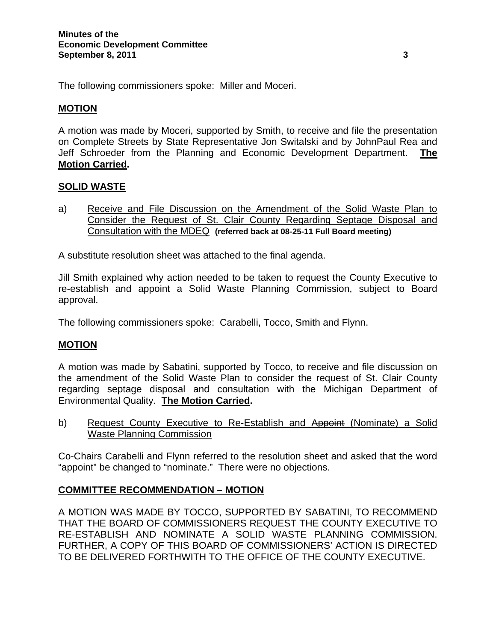The following commissioners spoke: Miller and Moceri.

### **MOTION**

A motion was made by Moceri, supported by Smith, to receive and file the presentation on Complete Streets by State Representative Jon Switalski and by JohnPaul Rea and Jeff Schroeder from the Planning and Economic Development Department. **The Motion Carried.** 

### **SOLID WASTE**

a) Receive and File Discussion on the Amendment of the Solid Waste Plan to Consider the Request of St. Clair County Regarding Septage Disposal and Consultation with the MDEQ **(referred back at 08-25-11 Full Board meeting)**

A substitute resolution sheet was attached to the final agenda.

Jill Smith explained why action needed to be taken to request the County Executive to re-establish and appoint a Solid Waste Planning Commission, subject to Board approval.

The following commissioners spoke: Carabelli, Tocco, Smith and Flynn.

# **MOTION**

A motion was made by Sabatini, supported by Tocco, to receive and file discussion on the amendment of the Solid Waste Plan to consider the request of St. Clair County regarding septage disposal and consultation with the Michigan Department of Environmental Quality. **The Motion Carried.**

b) Request County Executive to Re-Establish and Appoint (Nominate) a Solid Waste Planning Commission

Co-Chairs Carabelli and Flynn referred to the resolution sheet and asked that the word "appoint" be changed to "nominate." There were no objections.

#### **COMMITTEE RECOMMENDATION – MOTION**

A MOTION WAS MADE BY TOCCO, SUPPORTED BY SABATINI, TO RECOMMEND THAT THE BOARD OF COMMISSIONERS REQUEST THE COUNTY EXECUTIVE TO RE-ESTABLISH AND NOMINATE A SOLID WASTE PLANNING COMMISSION. FURTHER, A COPY OF THIS BOARD OF COMMISSIONERS' ACTION IS DIRECTED TO BE DELIVERED FORTHWITH TO THE OFFICE OF THE COUNTY EXECUTIVE.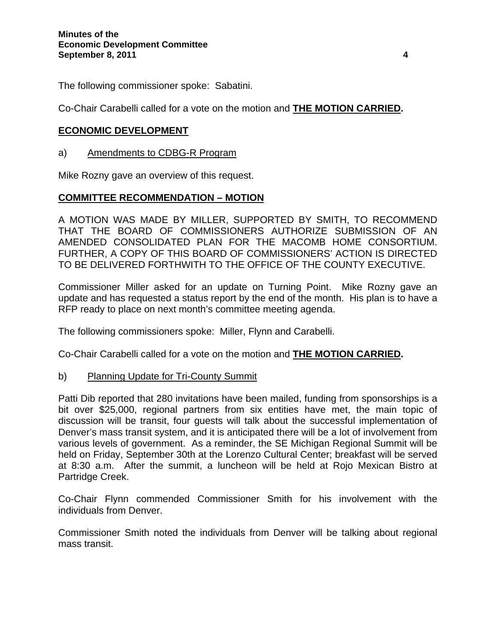The following commissioner spoke: Sabatini.

Co-Chair Carabelli called for a vote on the motion and **THE MOTION CARRIED.** 

# **ECONOMIC DEVELOPMENT**

### a) Amendments to CDBG-R Program

Mike Rozny gave an overview of this request.

# **COMMITTEE RECOMMENDATION – MOTION**

A MOTION WAS MADE BY MILLER, SUPPORTED BY SMITH, TO RECOMMEND THAT THE BOARD OF COMMISSIONERS AUTHORIZE SUBMISSION OF AN AMENDED CONSOLIDATED PLAN FOR THE MACOMB HOME CONSORTIUM. FURTHER, A COPY OF THIS BOARD OF COMMISSIONERS' ACTION IS DIRECTED TO BE DELIVERED FORTHWITH TO THE OFFICE OF THE COUNTY EXECUTIVE.

Commissioner Miller asked for an update on Turning Point. Mike Rozny gave an update and has requested a status report by the end of the month. His plan is to have a RFP ready to place on next month's committee meeting agenda.

The following commissioners spoke: Miller, Flynn and Carabelli.

Co-Chair Carabelli called for a vote on the motion and **THE MOTION CARRIED.**

# b) Planning Update for Tri-County Summit

Patti Dib reported that 280 invitations have been mailed, funding from sponsorships is a bit over \$25,000, regional partners from six entities have met, the main topic of discussion will be transit, four guests will talk about the successful implementation of Denver's mass transit system, and it is anticipated there will be a lot of involvement from various levels of government. As a reminder, the SE Michigan Regional Summit will be held on Friday, September 30th at the Lorenzo Cultural Center; breakfast will be served at 8:30 a.m. After the summit, a luncheon will be held at Rojo Mexican Bistro at Partridge Creek.

Co-Chair Flynn commended Commissioner Smith for his involvement with the individuals from Denver.

Commissioner Smith noted the individuals from Denver will be talking about regional mass transit.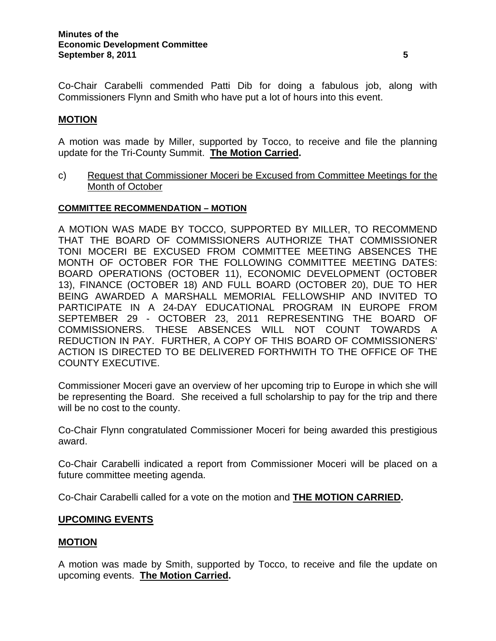Co-Chair Carabelli commended Patti Dib for doing a fabulous job, along with Commissioners Flynn and Smith who have put a lot of hours into this event.

# **MOTION**

A motion was made by Miller, supported by Tocco, to receive and file the planning update for the Tri-County Summit. **The Motion Carried.** 

c) Request that Commissioner Moceri be Excused from Committee Meetings for the Month of October

#### **COMMITTEE RECOMMENDATION – MOTION**

A MOTION WAS MADE BY TOCCO, SUPPORTED BY MILLER, TO RECOMMEND THAT THE BOARD OF COMMISSIONERS AUTHORIZE THAT COMMISSIONER TONI MOCERI BE EXCUSED FROM COMMITTEE MEETING ABSENCES THE MONTH OF OCTOBER FOR THE FOLLOWING COMMITTEE MEETING DATES: BOARD OPERATIONS (OCTOBER 11), ECONOMIC DEVELOPMENT (OCTOBER 13), FINANCE (OCTOBER 18) AND FULL BOARD (OCTOBER 20), DUE TO HER BEING AWARDED A MARSHALL MEMORIAL FELLOWSHIP AND INVITED TO PARTICIPATE IN A 24-DAY EDUCATIONAL PROGRAM IN EUROPE FROM SEPTEMBER 29 - OCTOBER 23, 2011 REPRESENTING THE BOARD OF COMMISSIONERS. THESE ABSENCES WILL NOT COUNT TOWARDS A REDUCTION IN PAY. FURTHER, A COPY OF THIS BOARD OF COMMISSIONERS' ACTION IS DIRECTED TO BE DELIVERED FORTHWITH TO THE OFFICE OF THE COUNTY EXECUTIVE.

Commissioner Moceri gave an overview of her upcoming trip to Europe in which she will be representing the Board. She received a full scholarship to pay for the trip and there will be no cost to the county.

Co-Chair Flynn congratulated Commissioner Moceri for being awarded this prestigious award.

Co-Chair Carabelli indicated a report from Commissioner Moceri will be placed on a future committee meeting agenda.

Co-Chair Carabelli called for a vote on the motion and **THE MOTION CARRIED.** 

# **UPCOMING EVENTS**

#### **MOTION**

A motion was made by Smith, supported by Tocco, to receive and file the update on upcoming events. **The Motion Carried.**